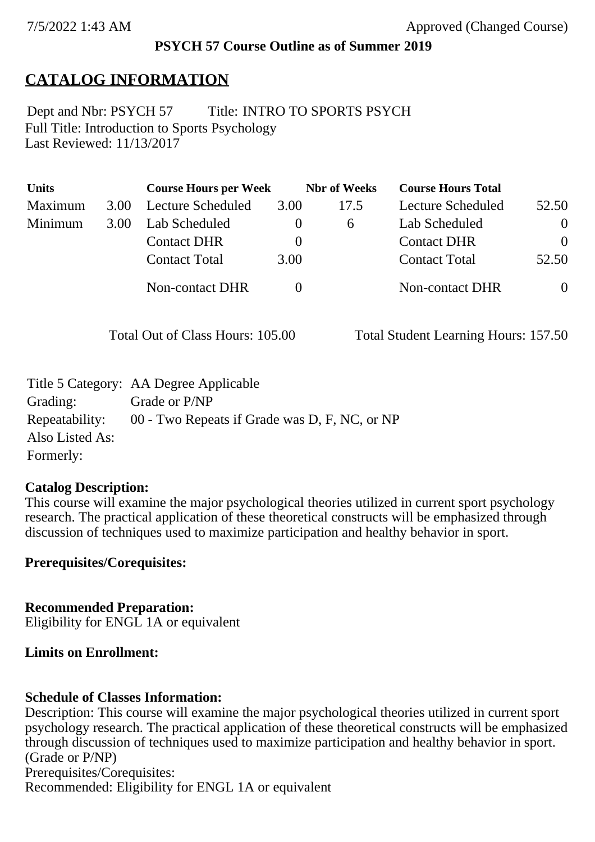### **PSYCH 57 Course Outline as of Summer 2019**

# **CATALOG INFORMATION**

Full Title: Introduction to Sports Psychology Last Reviewed: 11/13/2017 Dept and Nbr: PSYCH 57 Title: INTRO TO SPORTS PSYCH

| <b>Units</b> |      | <b>Course Hours per Week</b> |          | <b>Nbr</b> of Weeks | <b>Course Hours Total</b> |          |
|--------------|------|------------------------------|----------|---------------------|---------------------------|----------|
| Maximum      | 3.00 | Lecture Scheduled            | 3.00     | 17.5                | Lecture Scheduled         | 52.50    |
| Minimum      | 3.00 | Lab Scheduled                | $\theta$ | $\sigma$            | Lab Scheduled             | $\theta$ |
|              |      | <b>Contact DHR</b>           | $\theta$ |                     | <b>Contact DHR</b>        | $\Omega$ |
|              |      | <b>Contact Total</b>         | 3.00     |                     | <b>Contact Total</b>      | 52.50    |
|              |      | Non-contact DHR              |          |                     | <b>Non-contact DHR</b>    | $\theta$ |

Total Out of Class Hours: 105.00 Total Student Learning Hours: 157.50

|                 | Title 5 Category: AA Degree Applicable        |
|-----------------|-----------------------------------------------|
| Grading:        | Grade or P/NP                                 |
| Repeatability:  | 00 - Two Repeats if Grade was D, F, NC, or NP |
| Also Listed As: |                                               |
| Formerly:       |                                               |

#### **Catalog Description:**

This course will examine the major psychological theories utilized in current sport psychology research. The practical application of these theoretical constructs will be emphasized through discussion of techniques used to maximize participation and healthy behavior in sport.

**Prerequisites/Corequisites:**

**Recommended Preparation:** Eligibility for ENGL 1A or equivalent

#### **Limits on Enrollment:**

### **Schedule of Classes Information:**

Description: This course will examine the major psychological theories utilized in current sport psychology research. The practical application of these theoretical constructs will be emphasized through discussion of techniques used to maximize participation and healthy behavior in sport. (Grade or P/NP) Prerequisites/Corequisites: Recommended: Eligibility for ENGL 1A or equivalent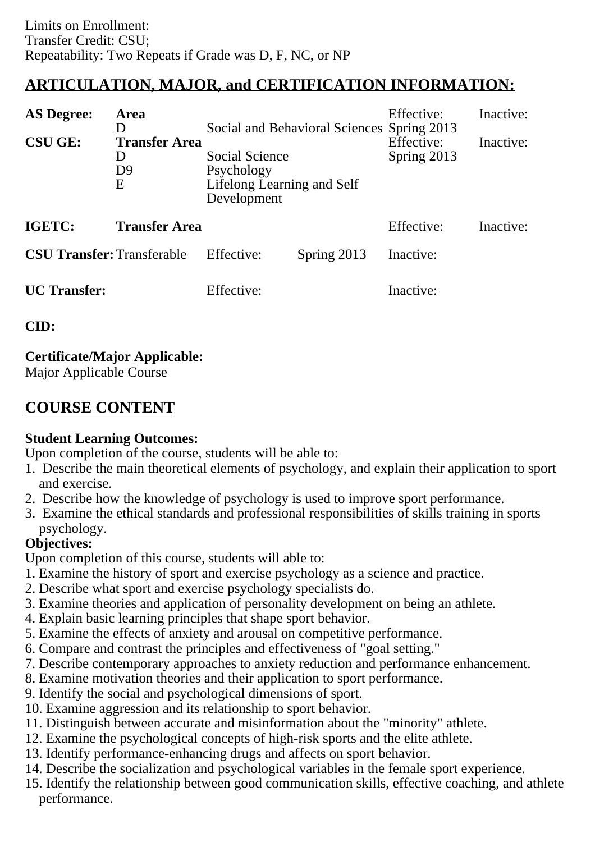# **ARTICULATION, MAJOR, and CERTIFICATION INFORMATION:**

| <b>AS Degree:</b><br><b>CSU GE:</b> | Area<br>D<br><b>Transfer Area</b><br>D<br>D <sub>9</sub><br>E | Social Science<br>Psychology<br>Lifelong Learning and Self<br>Development | Social and Behavioral Sciences Spring 2013 | Effective:<br>Effective:<br>Spring 2013 | Inactive:<br>Inactive: |
|-------------------------------------|---------------------------------------------------------------|---------------------------------------------------------------------------|--------------------------------------------|-----------------------------------------|------------------------|
| IGETC:                              | <b>Transfer Area</b>                                          |                                                                           |                                            | Effective:                              | Inactive:              |
| <b>CSU Transfer: Transferable</b>   |                                                               | Effective:                                                                | Spring 2013                                | Inactive:                               |                        |
| <b>UC</b> Transfer:                 |                                                               | Effective:                                                                |                                            | Inactive:                               |                        |

**CID:**

## **Certificate/Major Applicable:**

[Major Applicable Course](SR_ClassCheck.aspx?CourseKey=PSYCH57)

# **COURSE CONTENT**

### **Student Learning Outcomes:**

Upon completion of the course, students will be able to:

- 1. Describe the main theoretical elements of psychology, and explain their application to sport and exercise.
- 2. Describe how the knowledge of psychology is used to improve sport performance.
- 3. Examine the ethical standards and professional responsibilities of skills training in sports psychology.

### **Objectives:**

Upon completion of this course, students will able to:

- 1. Examine the history of sport and exercise psychology as a science and practice.
- 2. Describe what sport and exercise psychology specialists do.
- 3. Examine theories and application of personality development on being an athlete.
- 4. Explain basic learning principles that shape sport behavior.
- 5. Examine the effects of anxiety and arousal on competitive performance.
- 6. Compare and contrast the principles and effectiveness of "goal setting."
- 7. Describe contemporary approaches to anxiety reduction and performance enhancement.
- 8. Examine motivation theories and their application to sport performance.
- 9. Identify the social and psychological dimensions of sport.
- 10. Examine aggression and its relationship to sport behavior.
- 11. Distinguish between accurate and misinformation about the "minority" athlete.
- 12. Examine the psychological concepts of high-risk sports and the elite athlete.
- 13. Identify performance-enhancing drugs and affects on sport behavior.
- 14. Describe the socialization and psychological variables in the female sport experience.
- 15. Identify the relationship between good communication skills, effective coaching, and athlete performance.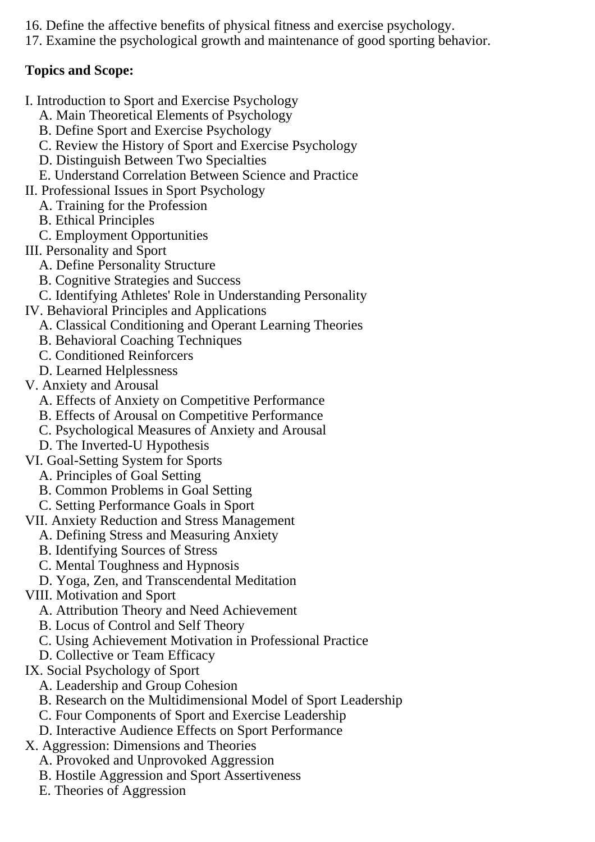- 16. Define the affective benefits of physical fitness and exercise psychology.
- 17. Examine the psychological growth and maintenance of good sporting behavior.

### **Topics and Scope:**

- I. Introduction to Sport and Exercise Psychology
	- A. Main Theoretical Elements of Psychology
	- B. Define Sport and Exercise Psychology
	- C. Review the History of Sport and Exercise Psychology
	- D. Distinguish Between Two Specialties
- E. Understand Correlation Between Science and Practice
- II. Professional Issues in Sport Psychology
- A. Training for the Profession
	- B. Ethical Principles
	- C. Employment Opportunities
- III. Personality and Sport
	- A. Define Personality Structure
	- B. Cognitive Strategies and Success
	- C. Identifying Athletes' Role in Understanding Personality
- IV. Behavioral Principles and Applications
	- A. Classical Conditioning and Operant Learning Theories
	- B. Behavioral Coaching Techniques
	- C. Conditioned Reinforcers
	- D. Learned Helplessness
- V. Anxiety and Arousal
	- A. Effects of Anxiety on Competitive Performance
	- B. Effects of Arousal on Competitive Performance
	- C. Psychological Measures of Anxiety and Arousal
	- D. The Inverted-U Hypothesis
- VI. Goal-Setting System for Sports
	- A. Principles of Goal Setting
	- B. Common Problems in Goal Setting
	- C. Setting Performance Goals in Sport
- VII. Anxiety Reduction and Stress Management
	- A. Defining Stress and Measuring Anxiety
	- B. Identifying Sources of Stress
	- C. Mental Toughness and Hypnosis
	- D. Yoga, Zen, and Transcendental Meditation
- VIII. Motivation and Sport
	- A. Attribution Theory and Need Achievement
	- B. Locus of Control and Self Theory
	- C. Using Achievement Motivation in Professional Practice
	- D. Collective or Team Efficacy
- IX. Social Psychology of Sport
	- A. Leadership and Group Cohesion
	- B. Research on the Multidimensional Model of Sport Leadership
	- C. Four Components of Sport and Exercise Leadership
	- D. Interactive Audience Effects on Sport Performance
- X. Aggression: Dimensions and Theories
	- A. Provoked and Unprovoked Aggression
	- B. Hostile Aggression and Sport Assertiveness
	- E. Theories of Aggression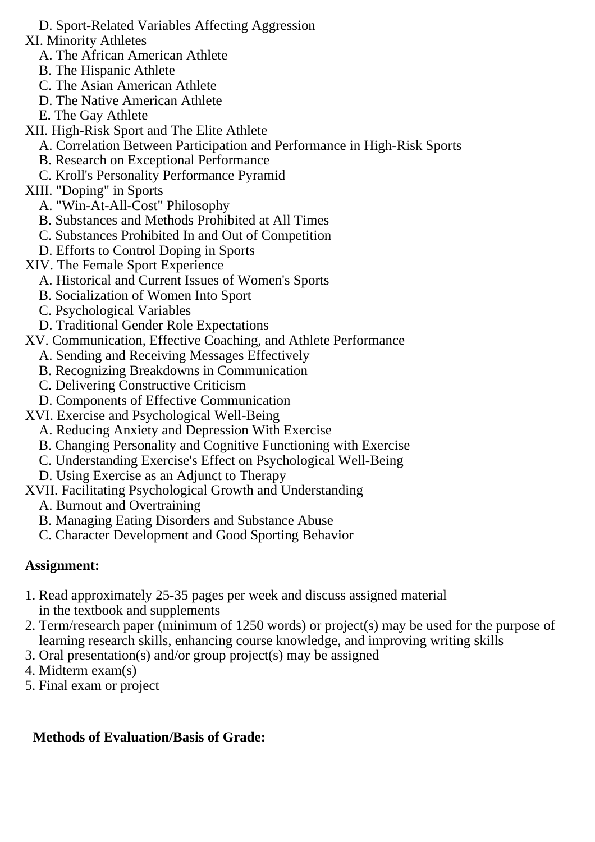- D. Sport-Related Variables Affecting Aggression
- XI. Minority Athletes
	- A. The African American Athlete
	- B. The Hispanic Athlete
	- C. The Asian American Athlete
	- D. The Native American Athlete
	- E. The Gay Athlete
- XII. High-Risk Sport and The Elite Athlete
	- A. Correlation Between Participation and Performance in High-Risk Sports
	- B. Research on Exceptional Performance
	- C. Kroll's Personality Performance Pyramid
- XIII. "Doping" in Sports
	- A. "Win-At-All-Cost" Philosophy
	- B. Substances and Methods Prohibited at All Times
	- C. Substances Prohibited In and Out of Competition
	- D. Efforts to Control Doping in Sports
- XIV. The Female Sport Experience
	- A. Historical and Current Issues of Women's Sports
	- B. Socialization of Women Into Sport
	- C. Psychological Variables
	- D. Traditional Gender Role Expectations
- XV. Communication, Effective Coaching, and Athlete Performance
	- A. Sending and Receiving Messages Effectively
	- B. Recognizing Breakdowns in Communication
	- C. Delivering Constructive Criticism
	- D. Components of Effective Communication
- XVI. Exercise and Psychological Well-Being
	- A. Reducing Anxiety and Depression With Exercise
	- B. Changing Personality and Cognitive Functioning with Exercise
	- C. Understanding Exercise's Effect on Psychological Well-Being
	- D. Using Exercise as an Adjunct to Therapy
- XVII. Facilitating Psychological Growth and Understanding
	- A. Burnout and Overtraining
	- B. Managing Eating Disorders and Substance Abuse
	- C. Character Development and Good Sporting Behavior

### **Assignment:**

- 1. Read approximately 25-35 pages per week and discuss assigned material in the textbook and supplements
- 2. Term/research paper (minimum of 1250 words) or project(s) may be used for the purpose of learning research skills, enhancing course knowledge, and improving writing skills
- 3. Oral presentation(s) and/or group project(s) may be assigned
- 4. Midterm exam(s)
- 5. Final exam or project

### **Methods of Evaluation/Basis of Grade:**